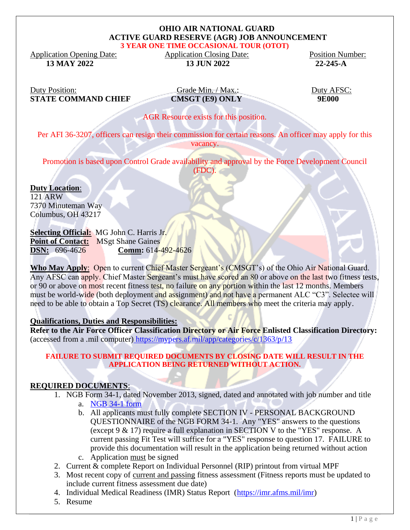#### **OHIO AIR NATIONAL GUARD ACTIVE GUARD RESERVE (AGR) JOB ANNOUNCEMENT 3 YEAR ONE TIME OCCASIONAL TOUR (OTOT)**

Application Opening Date: Application Closing Date: Position Number: 13 MAY 2022<br>13 MAY 2022<br>22-245-A **13 JUN 2022** 22-245-A

Duty Position: Grade Min. / Max.: Duty AFSC:<br>
STATE COMMAND CHIEF CMSGT (E9) ONLY 9E000 **STATE COMMAND CHIEF CMSGT (E9) ONLY 9E000**

AGR Resource exists for this position.

Per AFI 36-3207, officers can resign their commission for certain reasons. An officer may apply for this vacancy.

Promotion is based upon Control Grade availability and approval by the Force Development Council (FDC).

**Duty Location**: 121 ARW 7370 Minuteman Way Columbus, OH 43217

**Selecting Official:** MG John C. Harris Jr. **Point of Contact:** MSgt Shane Gaines **DSN:** 696-4626 **Comm:** 614-492-4626

Who May Apply: Open to current Chief Master Sergeant's (CMSGT's) of the Ohio Air National Guard. Any AFSC can apply. Chief Master Sergeant's must have scored an 80 or above on the last two fitness tests, or 90 or above on most recent fitness test, no failure on any portion within the last 12 months. Members must be world-wide (both deployment and assignment) and not have a permanent ALC "C3". Selectee will need to be able to obtain a Top Secret (TS) clearance. All members who meet the criteria may apply.

### **Qualifications, Duties and Responsibilities:**

**Refer to the Air Force Officer Classification Directory or Air Force Enlisted Classification Directory:** (accessed from a .mil computer) <https://mypers.af.mil/app/categories/c/1363/p/13>

### **FAILURE TO SUBMIT REQUIRED DOCUMENTS BY CLOSING DATE WILL RESULT IN THE APPLICATION BEING RETURNED WITHOUT ACTION.**

### **REQUIRED DOCUMENTS**:

- 1. NGB Form 34-1, dated November 2013, signed, dated and annotated with job number and title a. [NGB 34-1 form](file:///C:/Users/bethany.d.tronafarle/Desktop/NGB%2034-1.pdf)
	- b. All applicants must fully complete SECTION IV PERSONAL BACKGROUND QUESTIONNAIRE of the NGB FORM 34-1. Any "YES" answers to the questions (except 9 & 17) require a full explanation in SECTION V to the "YES" response. A current passing Fit Test will suffice for a "YES" response to question 17. FAILURE to provide this documentation will result in the application being returned without action
	- c. Application must be signed
- 2. Current & complete Report on Individual Personnel (RIP) printout from virtual MPF
- 3. Most recent copy of current and passing fitness assessment (Fitness reports must be updated to include current fitness assessment due date)
- 4. Individual Medical Readiness (IMR) Status Report [\(https://imr.afms.mil/imr\)](https://imr.afms.mil/imr)
- 5. Resume